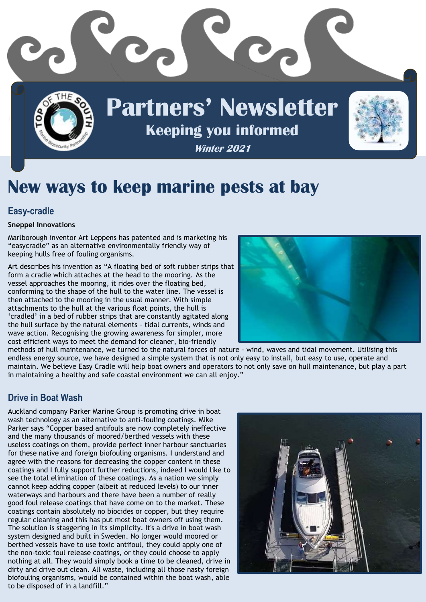

# **New ways to keep marine pests at bay**

#### **Easy-cradle**

#### **Sneppel Innovations**

Marlborough inventor Art Leppens has patented and is marketing his "easycradle" as an alternative environmentally friendly way of keeping hulls free of fouling organisms.

Art describes his invention as "A floating bed of soft rubber strips that form a cradle which attaches at the head to the mooring. As the vessel approaches the mooring, it rides over the floating bed, conforming to the shape of the hull to the water line. The vessel is then attached to the mooring in the usual manner. With simple attachments to the hull at the various float points, the hull is 'cradled' in a bed of rubber strips that are constantly agitated along the hull surface by the natural elements – tidal currents, winds and wave action. Recognising the growing awareness for simpler, more cost efficient ways to meet the demand for cleaner, bio-friendly



methods of hull maintenance, we turned to the natural forces of nature – wind, waves and tidal movement. Utilising this endless energy source, we have designed a simple system that is not only easy to install, but easy to use, operate and maintain. We believe Easy Cradle will help boat owners and operators to not only save on hull maintenance, but play a part in maintaining a healthy and safe coastal environment we can all enjoy."

#### **Drive in Boat Wash**

Auckland company Parker Marine Group is promoting drive in boat wash technology as an alternative to anti-fouling coatings. Mike Parker says "Copper based antifouls are now completely ineffective and the many thousands of moored/berthed vessels with these useless coatings on them, provide perfect inner harbour sanctuaries for these native and foreign biofouling organisms. I understand and agree with the reasons for decreasing the copper content in these coatings and I fully support further reductions, indeed I would like to see the total elimination of these coatings. As a nation we simply cannot keep adding copper (albeit at reduced levels) to our inner waterways and harbours and there have been a number of really good foul release coatings that have come on to the market. These coatings contain absolutely no biocides or copper, but they require regular cleaning and this has put most boat owners off using them. The solution is staggering in its simplicity. It's a drive in boat wash system designed and built in Sweden. No longer would moored or berthed vessels have to use toxic antifoul, they could apply one of the non-toxic foul release coatings, or they could choose to apply nothing at all. They would simply book a time to be cleaned, drive in dirty and drive out clean. All waste, including all those nasty foreign biofouling organisms, would be contained within the boat wash, able to be disposed of in a landfill."

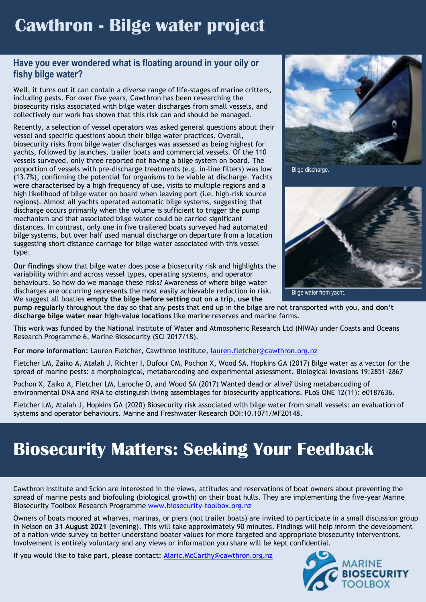## **Cawthron - Bilge water project**

### **Have you ever wondered what is floating around in your oily or fishy bilge water?**

Well, it turns out it can contain a diverse range of life-stages of marine critters, including pests. For over five years, Cawthron has been researching the biosecurity risks associated with bilge water discharges from small vessels, and collectively our work has shown that this risk can and should be managed.

Recently, a selection of vessel operators was asked general questions about their vessel and specific questions about their bilge water practices. Overall, biosecurity risks from bilge water discharges was assessed as being highest for yachts, followed by launches, trailer boats and commercial vessels. Of the 110 vessels surveyed, only three reported not having a bilge system on board. The proportion of vessels with pre-discharge treatments (e.g. in-line filters) was low (13.7%), confirming the potential for organisms to be viable at discharge. Yachts were characterised by a high frequency of use, visits to multiple regions and a high likelihood of bilge water on board when leaving port (i.e. high-risk source regions). Almost all yachts operated automatic bilge systems, suggesting that discharge occurs primarily when the volume is sufficient to trigger the pump mechanism and that associated bilge water could be carried significant distances. In contrast, only one in five trailered boats surveyed had automated bilge systems, but over half used manual discharge on departure from a location suggesting short distance carriage for bilge water associated with this vessel type.

**Our findings** show that bilge water does pose a biosecurity risk and highlights the variability within and across vessel types, operating systems, and operator behaviours. So how do we manage these risks? Awareness of where bilge water discharges are occurring represents the most easily achievable reduction in risk. We suggest all boaties **empty the bilge before setting out on a trip**, **use the**



Bilge discharge.



Bilge water from yacht.

**pump regularly** throughout the day so that any pests that end up in the bilge are not transported with you, and **don't discharge bilge water near high-value locations** like marine reserves and marine farms.

This work was funded by the National Institute of Water and Atmospheric Research Ltd (NIWA) under Coasts and Oceans Research Programme 6, Marine Biosecurity (SCI 2017/18).

**For more information:** Lauren Fletcher, Cawthron Institute, [lauren.fletcher@cawthron.org.nz](mailto:lauren.fletcher@cawthron.org.nz)

Fletcher LM, Zaiko A, Atalah J, Richter I, Dufour CM, Pochon X, Wood SA, Hopkins GA (2017) Bilge water as a vector for the spread of marine pests: a morphological, metabarcoding and experimental assessment. Biological Invasions 19:2851-2867

Pochon X, Zaiko A, Fletcher LM, Laroche O, and Wood SA (2017) Wanted dead or alive? Using metabarcoding of environmental DNA and RNA to distinguish living assemblages for biosecurity applications. PLoS ONE 12(11): e0187636.

Fletcher LM, Atalah J, Hopkins GA (2020) Biosecurity risk associated with bilge water from small vessels: an evaluation of systems and operator behaviours. Marine and Freshwater Research DOI:10.1071/MF20148.

# **Biosecurity Matters: Seeking Your Feedback**

Cawthron Institute and Scion are interested in the views, attitudes and reservations of boat owners about preventing the spread of marine pests and biofouling (biological growth) on their boat hulls. They are implementing the five-year Marine Biosecurity Toolbox Research Programme [www.biosecurity-toolbox.org.nz](http://www.biosecurity-toolbox.org.nz/)

Owners of boats moored at wharves, marinas, or piers (not trailer boats) are invited to participate in a small discussion group in Nelson on **31 August 2021** (evening). This will take approximately 90 minutes. Findings will help inform the development of a nation-wide survey to better understand boater values for more targeted and appropriate biosecurity interventions. Involvement is entirely voluntary and any views or information you share will be kept confidential.

If you would like to take part, please contact: [Alaric.McCarthy@cawthron.org.nz](mailto:Alaric.McCarthy@cawthron.org.nz)

![](_page_1_Picture_19.jpeg)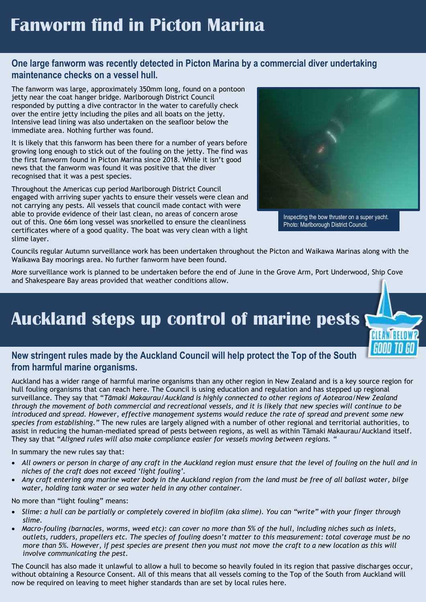## **Fanworm find in Picton Marina**

#### 1 **One large fanworm was recently detected in Picton Marina by a commercial diver undertaking maintenance checks on a vessel hull.**

The fanworm was large, approximately 350mm long, found on a pontoon jetty near the coat hanger bridge. Marlborough District Council responded by putting a dive contractor in the water to carefully check over the entire jetty including the piles and all boats on the jetty. Intensive lead lining was also undertaken on the seafloor below the immediate area. Nothing further was found.

111

It is likely that this fanworm has been there for a number of years before growing long enough to stick out of the fouling on the jetty. The find was the first fanworm found in Picton Marina since 2018. While it isn't good news that the fanworm was found it was positive that the diver recognised that it was a pest species.

Throughout the Americas cup period Marlborough District Council engaged with arriving super yachts to ensure their vessels were clean and not carrying any pests. All vessels that council made contact with were able to provide evidence of their last clean, no areas of concern arose out of this. One 66m long vessel was snorkelled to ensure the cleanliness certificates where of a good quality. The boat was very clean with a light slime layer.

![](_page_2_Picture_5.jpeg)

Photo: Marlborough District Council.

Councils regular Autumn surveillance work has been undertaken throughout the Picton and Waikawa Marinas along with the Waikawa Bay moorings area. No further fanworm have been found.

More surveillance work is planned to be undertaken before the end of June in the Grove Arm, Port Underwood, Ship Cove and Shakespeare Bay areas provided that weather conditions allow.

### **Auckland steps up control of marine pests**

![](_page_2_Picture_10.jpeg)

### New stringent rules made by the Auckland Council will help protect the Top of the South<br>from harmful marine organisms. **from harmful marine organisms.**

Auckland has a wider range of harmful marine organisms than any other region in New Zealand and is a key source region for hull fouling organisms that can reach here. The Council is using education and regulation and has stepped up regional surveillance. They say that "*Tāmaki Makaurau/Auckland is highly connected to other regions of Aotearoa/New Zealand through the movement of both commercial and recreational vessels, and it is likely that new species will continue to be introduced and spread. However, effective management systems would reduce the rate of spread and prevent some new species from establishing."* The new rules are largely aligned with a number of other regional and territorial authorities, to assist in reducing the human-mediated spread of pests between regions, as well as within Tāmaki Makaurau/Auckland itself. They say that "*Aligned rules will also make compliance easier for vessels moving between regions. "*

In summary the new rules say that:

- *All owners or person in charge of any craft in the Auckland region must ensure that the level of fouling on the hull and in niches of the craft does not exceed 'light fouling'.*
- *Any craft entering any marine water body in the Auckland region from the land must be free of all ballast water, bilge water, holding tank water or sea water held in any other container.*

No more than "light fouling" means:

- *Slime: a hull can be partially or completely covered in biofilm (aka slime). You can "write" with your finger through slime.*
- *Macro-fouling (barnacles, worms, weed etc): can cover no more than 5% of the hull, including niches such as inlets, outlets, rudders, propellers etc. The species of fouling doesn't matter to this measurement: total coverage must be no more than 5%. However, if pest species are present then you must not move the craft to a new location as this will involve communicating the pest.*

The Council has also made it unlawful to allow a hull to become so heavily fouled in its region that passive discharges occur, without obtaining a Resource Consent. All of this means that all vessels coming to the Top of the South from Auckland will now be required on leaving to meet higher standards than are set by local rules here.